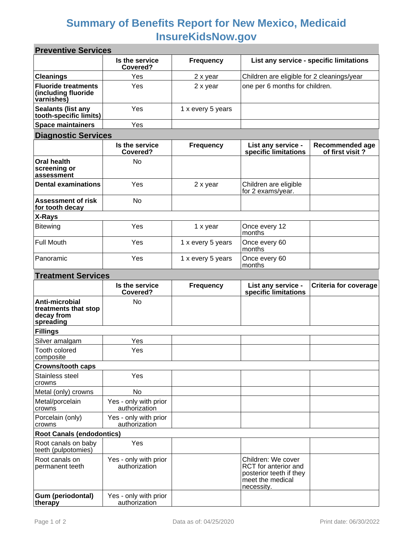## **Summary of Benefits Report for New Mexico, Medicaid InsureKidsNow.gov**

| <b>Preventive Services</b>                                        |                                        |                   |                                                                                                         |                                           |
|-------------------------------------------------------------------|----------------------------------------|-------------------|---------------------------------------------------------------------------------------------------------|-------------------------------------------|
|                                                                   | Is the service<br>Covered?             | <b>Frequency</b>  | List any service - specific limitations                                                                 |                                           |
| <b>Cleanings</b>                                                  | Yes                                    | 2 x year          | Children are eligible for 2 cleanings/year                                                              |                                           |
| <b>Fluoride treatments</b><br>(including fluoride<br>varnishes)   | Yes                                    | 2 x year          | one per 6 months for children.                                                                          |                                           |
| Sealants (list any<br>tooth-specific limits)                      | Yes                                    | 1 x every 5 years |                                                                                                         |                                           |
| <b>Space maintainers</b>                                          | Yes                                    |                   |                                                                                                         |                                           |
| <b>Diagnostic Services</b>                                        |                                        |                   |                                                                                                         |                                           |
|                                                                   | Is the service<br>Covered?             | <b>Frequency</b>  | List any service -<br>specific limitations                                                              | <b>Recommended age</b><br>of first visit? |
| <b>Oral health</b><br>screening or<br>assessment                  | No                                     |                   |                                                                                                         |                                           |
| <b>Dental examinations</b>                                        | Yes                                    | 2 x year          | Children are eligible<br>for 2 exams/year.                                                              |                                           |
| <b>Assessment of risk</b><br>for tooth decay                      | No                                     |                   |                                                                                                         |                                           |
| X-Rays                                                            |                                        |                   |                                                                                                         |                                           |
| <b>Bitewing</b>                                                   | Yes                                    | 1 x year          | Once every 12<br>months                                                                                 |                                           |
| <b>Full Mouth</b>                                                 | Yes                                    | 1 x every 5 years | Once every 60<br>months                                                                                 |                                           |
| Panoramic                                                         | Yes                                    | 1 x every 5 years | Once every 60<br>months                                                                                 |                                           |
| <b>Treatment Services</b>                                         |                                        |                   |                                                                                                         |                                           |
|                                                                   | Is the service<br>Covered?             | <b>Frequency</b>  | List any service -<br>specific limitations                                                              | <b>Criteria for coverage</b>              |
| Anti-microbial<br>treatments that stop<br>decay from<br>spreading | No                                     |                   |                                                                                                         |                                           |
| <b>Fillings</b>                                                   |                                        |                   |                                                                                                         |                                           |
| Silver amalgam                                                    | Yes                                    |                   |                                                                                                         |                                           |
| Tooth colored<br>composite                                        | Yes                                    |                   |                                                                                                         |                                           |
| <b>Crowns/tooth caps</b>                                          |                                        |                   |                                                                                                         |                                           |
| Stainless steel<br>crowns                                         | Yes                                    |                   |                                                                                                         |                                           |
| Metal (only) crowns                                               | No                                     |                   |                                                                                                         |                                           |
| Metal/porcelain<br>crowns                                         | Yes - only with prior<br>authorization |                   |                                                                                                         |                                           |
| Porcelain (only)<br>crowns                                        | Yes - only with prior<br>authorization |                   |                                                                                                         |                                           |
| <b>Root Canals (endodontics)</b>                                  |                                        |                   |                                                                                                         |                                           |
| Root canals on baby<br>teeth (pulpotomies)                        | Yes                                    |                   |                                                                                                         |                                           |
| Root canals on<br>permanent teeth                                 | Yes - only with prior<br>authorization |                   | Children: We cover<br>RCT for anterior and<br>posterior teeth if they<br>meet the medical<br>necessity. |                                           |
| Gum (periodontal)<br>therapy                                      | Yes - only with prior<br>authorization |                   |                                                                                                         |                                           |